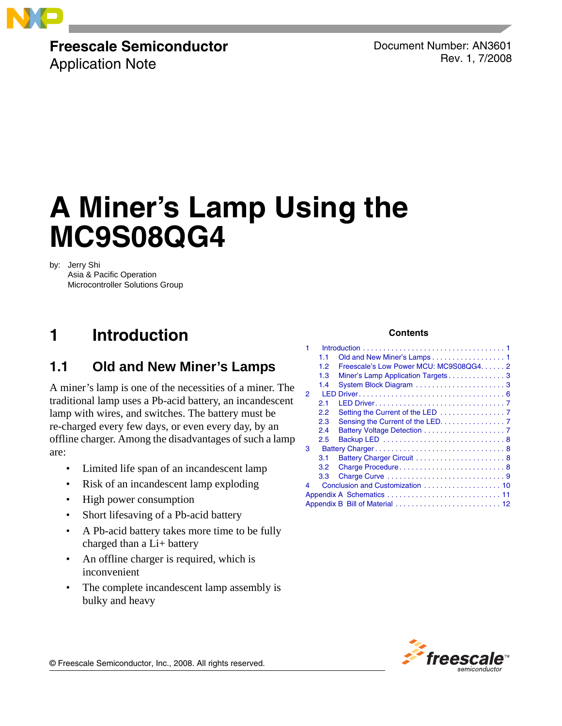

# **Freescale Semiconductor**

Application Note

Document Number: AN3601 Rev. 1, 7/2008

# **A Miner's Lamp Using the MC9S08QG4**

by: Jerry Shi

Asia & Pacific Operation Microcontroller Solutions Group

# **1 Introduction**

### <span id="page-0-0"></span>**1.1 Old and New Miner's Lamps**

A miner's lamp is one of the necessities of a miner. The traditional lamp uses a Pb-acid battery, an incandescent lamp with wires, and switches. The battery must be re-charged every few days, or even every day, by an offline charger. Among the disadvantages of such a lamp are:

- Limited life span of an incandescent lamp
- Risk of an incandescent lamp exploding
- High power consumption
- Short lifesaving of a Pb-acid battery
- A Pb-acid battery takes more time to be fully charged than a Li+ battery
- An offline charger is required, which is inconvenient
- The complete incandescent lamp assembly is bulky and heavy

#### **Contents**

| 1                               |     |                                         |  |  |  |  |  |
|---------------------------------|-----|-----------------------------------------|--|--|--|--|--|
|                                 |     |                                         |  |  |  |  |  |
|                                 | 1.1 | Old and New Miner's Lamps 1             |  |  |  |  |  |
|                                 | 1.2 | Freescale's Low Power MCU: MC9S08QG4. 2 |  |  |  |  |  |
|                                 | 1.3 | Miner's Lamp Application Targets3       |  |  |  |  |  |
|                                 | 1.4 |                                         |  |  |  |  |  |
| 2                               |     |                                         |  |  |  |  |  |
|                                 | 2.1 |                                         |  |  |  |  |  |
|                                 | 2.2 |                                         |  |  |  |  |  |
|                                 | 2.3 | Sensing the Current of the LED. 7       |  |  |  |  |  |
|                                 | 2.4 |                                         |  |  |  |  |  |
|                                 | 2.5 |                                         |  |  |  |  |  |
| 3                               |     |                                         |  |  |  |  |  |
|                                 | 3.1 |                                         |  |  |  |  |  |
|                                 | 3.2 |                                         |  |  |  |  |  |
|                                 | 3.3 |                                         |  |  |  |  |  |
| 4                               |     |                                         |  |  |  |  |  |
|                                 |     |                                         |  |  |  |  |  |
| Appendix B Bill of Material  12 |     |                                         |  |  |  |  |  |



© Freescale Semiconductor, Inc., 2008. All rights reserved.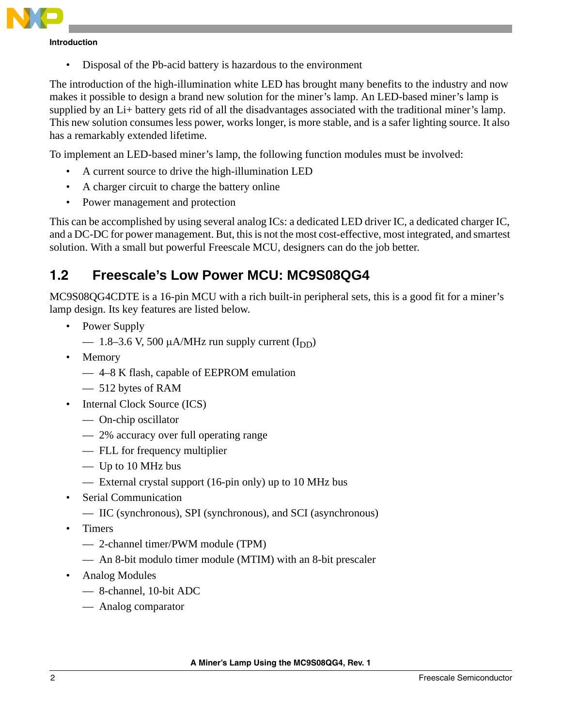

**Introduction**

• Disposal of the Pb-acid battery is hazardous to the environment

The introduction of the high-illumination white LED has brought many benefits to the industry and now makes it possible to design a brand new solution for the miner's lamp. An LED-based miner's lamp is supplied by an Li+ battery gets rid of all the disadvantages associated with the traditional miner's lamp. This new solution consumes less power, works longer, is more stable, and is a safer lighting source. It also has a remarkably extended lifetime.

To implement an LED-based miner's lamp, the following function modules must be involved:

- A current source to drive the high-illumination LED
- A charger circuit to charge the battery online
- Power management and protection

This can be accomplished by using several analog ICs: a dedicated LED driver IC, a dedicated charger IC, and a DC-DC for power management. But, this is not the most cost-effective, most integrated, and smartest solution. With a small but powerful Freescale MCU, designers can do the job better.

### <span id="page-1-0"></span>**1.2 Freescale's Low Power MCU: MC9S08QG4**

MC9S08QG4CDTE is a 16-pin MCU with a rich built-in peripheral sets, this is a good fit for a miner's lamp design. Its key features are listed below.

- Power Supply
	- $-$  1.8–3.6 V, 500  $\mu$ A/MHz run supply current (I<sub>DD</sub>)
- Memory
	- 4–8 K flash, capable of EEPROM emulation
	- 512 bytes of RAM
- Internal Clock Source (ICS)
	- On-chip oscillator
	- 2% accuracy over full operating range
	- FLL for frequency multiplier
	- Up to 10 MHz bus
	- External crystal support (16-pin only) up to 10 MHz bus
- Serial Communication
	- IIC (synchronous), SPI (synchronous), and SCI (asynchronous)
- Timers
	- 2-channel timer/PWM module (TPM)
	- An 8-bit modulo timer module (MTIM) with an 8-bit prescaler
- Analog Modules
	- 8-channel, 10-bit ADC
	- Analog comparator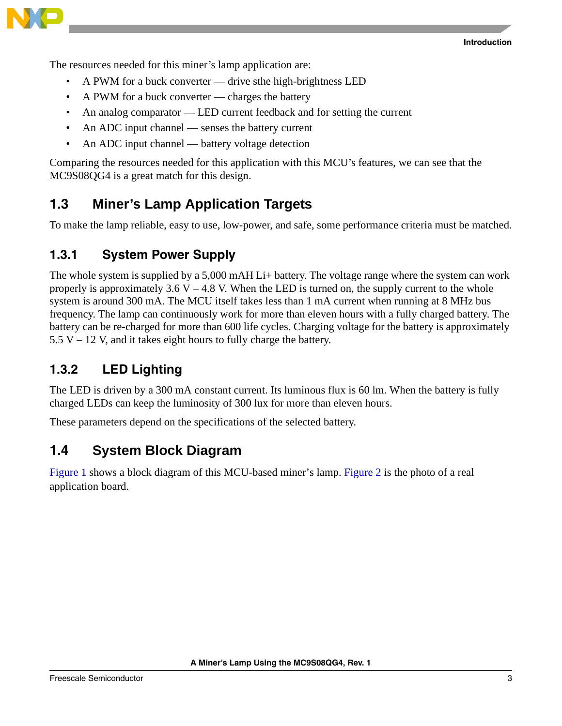The resources needed for this miner's lamp application are:

- A PWM for a buck converter drive sthe high-brightness LED
- A PWM for a buck converter charges the battery
- An analog comparator LED current feedback and for setting the current
- An ADC input channel senses the battery current
- An ADC input channel battery voltage detection

Comparing the resources needed for this application with this MCU's features, we can see that the MC9S08QG4 is a great match for this design.

#### <span id="page-2-0"></span>**1.3 Miner's Lamp Application Targets**

To make the lamp reliable, easy to use, low-power, and safe, some performance criteria must be matched.

#### **1.3.1 System Power Supply**

The whole system is supplied by a 5,000 mAH Li+ battery. The voltage range where the system can work properly is approximately  $3.6 V - 4.8 V$ . When the LED is turned on, the supply current to the whole system is around 300 mA. The MCU itself takes less than 1 mA current when running at 8 MHz bus frequency. The lamp can continuously work for more than eleven hours with a fully charged battery. The battery can be re-charged for more than 600 life cycles. Charging voltage for the battery is approximately  $5.5 V - 12 V$ , and it takes eight hours to fully charge the battery.

#### **1.3.2 LED Lighting**

The LED is driven by a 300 mA constant current. Its luminous flux is 60 lm. When the battery is fully charged LEDs can keep the luminosity of 300 lux for more than eleven hours.

These parameters depend on the specifications of the selected battery.

#### <span id="page-2-1"></span>**1.4 System Block Diagram**

[Figure 1](#page-3-0) shows a block diagram of this MCU-based miner's lamp. [Figure 2](#page-3-1) is the photo of a real application board.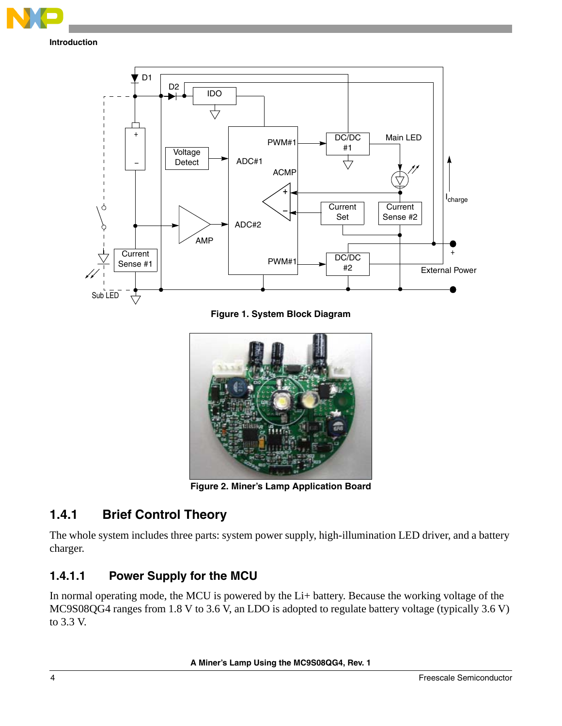



**Figure 1. System Block Diagram**

<span id="page-3-0"></span>

**Figure 2. Miner's Lamp Application Board**

#### <span id="page-3-1"></span>**1.4.1 Brief Control Theory**

The whole system includes three parts: system power supply, high-illumination LED driver, and a battery charger.

#### **1.4.1.1 Power Supply for the MCU**

In normal operating mode, the MCU is powered by the Li+ battery. Because the working voltage of the MC9S08QG4 ranges from 1.8 V to 3.6 V, an LDO is adopted to regulate battery voltage (typically 3.6 V) to 3.3 V.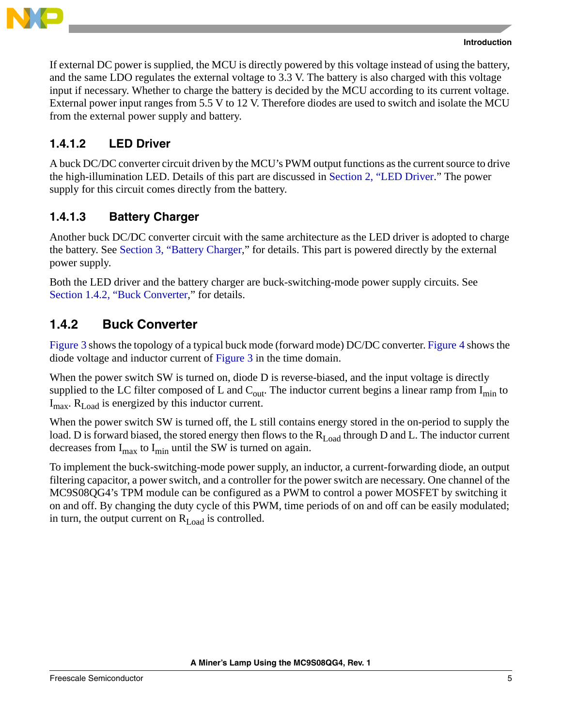

If external DC power is supplied, the MCU is directly powered by this voltage instead of using the battery, and the same LDO regulates the external voltage to 3.3 V. The battery is also charged with this voltage input if necessary. Whether to charge the battery is decided by the MCU according to its current voltage. External power input ranges from 5.5 V to 12 V. Therefore diodes are used to switch and isolate the MCU from the external power supply and battery.

#### **1.4.1.2 LED Driver**

A buck DC/DC converter circuit driven by the MCU's PWM output functions as the current source to drive the high-illumination LED. Details of this part are discussed in [Section 2, "LED Driver.](#page-5-0)" The power supply for this circuit comes directly from the battery.

#### **1.4.1.3 Battery Charger**

Another buck DC/DC converter circuit with the same architecture as the LED driver is adopted to charge the battery. See [Section 3, "Battery Charger,](#page-7-1)" for details. This part is powered directly by the external power supply.

Both the LED driver and the battery charger are buck-switching-mode power supply circuits. See [Section 1.4.2, "Buck Converter,](#page-4-0)" for details.

#### <span id="page-4-0"></span>**1.4.2 Buck Converter**

[Figure 3](#page-5-1) shows the topology of a typical buck mode (forward mode) DC/DC converter. [Figure 4](#page-5-2) shows the diode voltage and inductor current of [Figure 3](#page-5-1) in the time domain.

When the power switch SW is turned on, diode D is reverse-biased, and the input voltage is directly supplied to the LC filter composed of L and  $C_{out}$ . The inductor current begins a linear ramp from  $I_{min}$  to  $I_{\text{max}}$ .  $R_{\text{Load}}$  is energized by this inductor current.

When the power switch SW is turned off, the L still contains energy stored in the on-period to supply the load. D is forward biased, the stored energy then flows to the  $R_{Load}$  through D and L. The inductor current decreases from  $I_{\text{max}}$  to  $I_{\text{min}}$  until the SW is turned on again.

To implement the buck-switching-mode power supply, an inductor, a current-forwarding diode, an output filtering capacitor, a power switch, and a controller for the power switch are necessary. One channel of the MC9S08QG4's TPM module can be configured as a PWM to control a power MOSFET by switching it on and off. By changing the duty cycle of this PWM, time periods of on and off can be easily modulated; in turn, the output current on  $R_{\text{Load}}$  is controlled.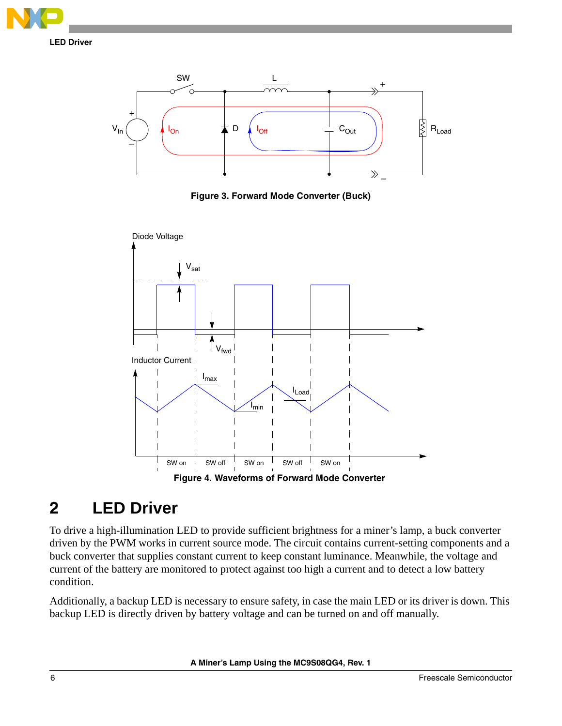



**Figure 3. Forward Mode Converter (Buck)**

<span id="page-5-1"></span>

## <span id="page-5-2"></span><span id="page-5-0"></span>**2 LED Driver**

To drive a high-illumination LED to provide sufficient brightness for a miner's lamp, a buck converter driven by the PWM works in current source mode. The circuit contains current-setting components and a buck converter that supplies constant current to keep constant luminance. Meanwhile, the voltage and current of the battery are monitored to protect against too high a current and to detect a low battery condition.

Additionally, a backup LED is necessary to ensure safety, in case the main LED or its driver is down. This backup LED is directly driven by battery voltage and can be turned on and off manually.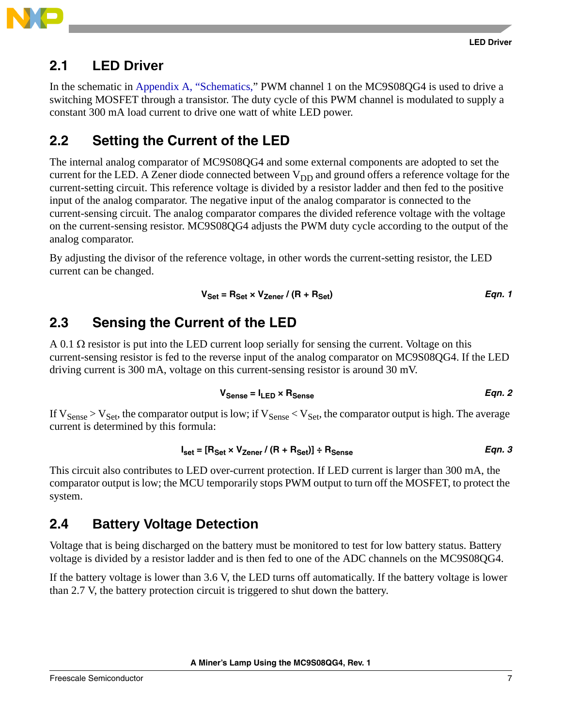

#### <span id="page-6-0"></span>**2.1 LED Driver**

In the schematic in [Appendix A, "Schematics,](#page-10-0)" PWM channel 1 on the MC9S08QG4 is used to drive a switching MOSFET through a transistor. The duty cycle of this PWM channel is modulated to supply a constant 300 mA load current to drive one watt of white LED power.

### <span id="page-6-1"></span>**2.2 Setting the Current of the LED**

The internal analog comparator of MC9S08QG4 and some external components are adopted to set the current for the LED. A Zener diode connected between  $V_{DD}$  and ground offers a reference voltage for the current-setting circuit. This reference voltage is divided by a resistor ladder and then fed to the positive input of the analog comparator. The negative input of the analog comparator is connected to the current-sensing circuit. The analog comparator compares the divided reference voltage with the voltage on the current-sensing resistor. MC9S08QG4 adjusts the PWM duty cycle according to the output of the analog comparator.

By adjusting the divisor of the reference voltage, in other words the current-setting resistor, the LED current can be changed.

$$
V_{\text{Set}} = R_{\text{Set}} \times V_{\text{Zener}} / (R + R_{\text{Set}})
$$
Eqn. 1

#### <span id="page-6-2"></span>**2.3 Sensing the Current of the LED**

A 0.1  $\Omega$  resistor is put into the LED current loop serially for sensing the current. Voltage on this current-sensing resistor is fed to the reverse input of the analog comparator on MC9S08QG4. If the LED driving current is 300 mA, voltage on this current-sensing resistor is around 30 mV.

$$
V_{\text{Sense}} = I_{\text{LED}} \times R_{\text{Sense}}
$$
Eqn. 2

If  $V_{\text{Sense}} > V_{\text{Set}}$ , the comparator output is low; if  $V_{\text{Sense}} < V_{\text{Set}}$ , the comparator output is high. The average current is determined by this formula:

$$
I_{\text{set}} = [R_{\text{Set}} \times V_{\text{Zener}} / (R + R_{\text{Set}})] \div R_{\text{Sense}}
$$
Eqn. 3

This circuit also contributes to LED over-current protection. If LED current is larger than 300 mA, the comparator output is low; the MCU temporarily stops PWM output to turn off the MOSFET, to protect the system.

#### <span id="page-6-3"></span>**2.4 Battery Voltage Detection**

Voltage that is being discharged on the battery must be monitored to test for low battery status. Battery voltage is divided by a resistor ladder and is then fed to one of the ADC channels on the MC9S08QG4.

If the battery voltage is lower than 3.6 V, the LED turns off automatically. If the battery voltage is lower than 2.7 V, the battery protection circuit is triggered to shut down the battery.

**A Miner's Lamp Using the MC9S08QG4, Rev. 1**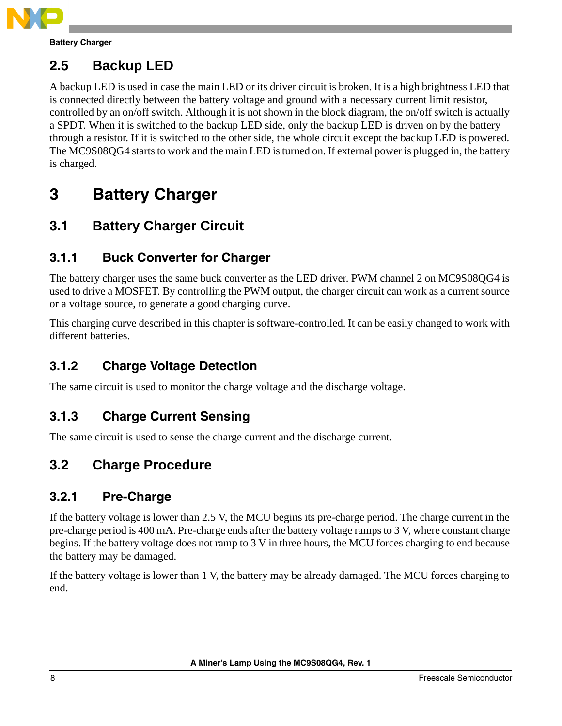

**Battery Charger**

### <span id="page-7-0"></span>**2.5 Backup LED**

A backup LED is used in case the main LED or its driver circuit is broken. It is a high brightness LED that is connected directly between the battery voltage and ground with a necessary current limit resistor, controlled by an on/off switch. Although it is not shown in the block diagram, the on/off switch is actually a SPDT. When it is switched to the backup LED side, only the backup LED is driven on by the battery through a resistor. If it is switched to the other side, the whole circuit except the backup LED is powered. The MC9S08QG4 starts to work and the main LED is turned on. If external power is plugged in, the battery is charged.

# <span id="page-7-1"></span>**3 Battery Charger**

### <span id="page-7-2"></span>**3.1 Battery Charger Circuit**

### **3.1.1 Buck Converter for Charger**

The battery charger uses the same buck converter as the LED driver. PWM channel 2 on MC9S08QG4 is used to drive a MOSFET. By controlling the PWM output, the charger circuit can work as a current source or a voltage source, to generate a good charging curve.

This charging curve described in this chapter is software-controlled. It can be easily changed to work with different batteries.

### **3.1.2 Charge Voltage Detection**

The same circuit is used to monitor the charge voltage and the discharge voltage.

#### **3.1.3 Charge Current Sensing**

The same circuit is used to sense the charge current and the discharge current.

### <span id="page-7-3"></span>**3.2 Charge Procedure**

#### **3.2.1 Pre-Charge**

If the battery voltage is lower than 2.5 V, the MCU begins its pre-charge period. The charge current in the pre-charge period is 400 mA. Pre-charge ends after the battery voltage ramps to 3 V, where constant charge begins. If the battery voltage does not ramp to 3 V in three hours, the MCU forces charging to end because the battery may be damaged.

If the battery voltage is lower than 1 V, the battery may be already damaged. The MCU forces charging to end.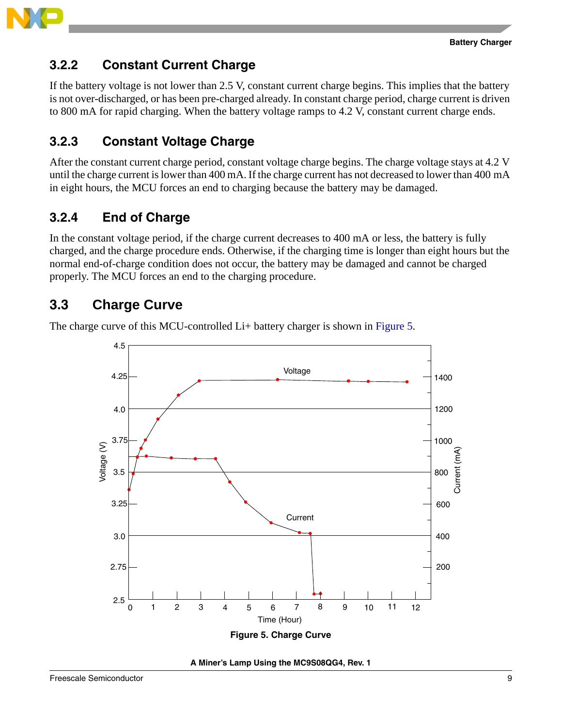

#### **3.2.2 Constant Current Charge**

If the battery voltage is not lower than 2.5 V, constant current charge begins. This implies that the battery is not over-discharged, or has been pre-charged already. In constant charge period, charge current is driven to 800 mA for rapid charging. When the battery voltage ramps to 4.2 V, constant current charge ends.

### **3.2.3 Constant Voltage Charge**

After the constant current charge period, constant voltage charge begins. The charge voltage stays at 4.2 V until the charge current is lower than 400 mA. If the charge current has not decreased to lower than 400 mA in eight hours, the MCU forces an end to charging because the battery may be damaged.

### **3.2.4 End of Charge**

In the constant voltage period, if the charge current decreases to 400 mA or less, the battery is fully charged, and the charge procedure ends. Otherwise, if the charging time is longer than eight hours but the normal end-of-charge condition does not occur, the battery may be damaged and cannot be charged properly. The MCU forces an end to the charging procedure.

#### <span id="page-8-0"></span>**3.3 Charge Curve**

The charge curve of this MCU-controlled Li+ battery charger is shown in [Figure 5.](#page-8-1)



<span id="page-8-1"></span>**A Miner's Lamp Using the MC9S08QG4, Rev. 1**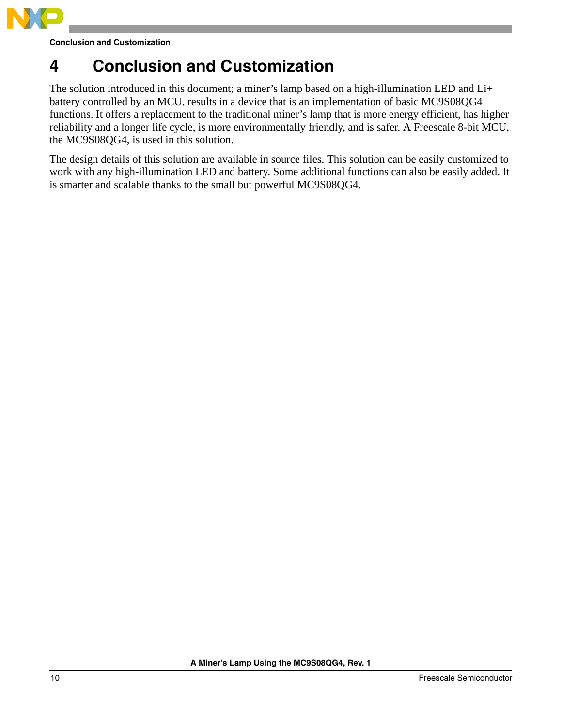

# <span id="page-9-0"></span>**4 Conclusion and Customization**

The solution introduced in this document; a miner's lamp based on a high-illumination LED and Li+ battery controlled by an MCU, results in a device that is an implementation of basic MC9S08QG4 functions. It offers a replacement to the traditional miner's lamp that is more energy efficient, has higher reliability and a longer life cycle, is more environmentally friendly, and is safer. A Freescale 8-bit MCU, the MC9S08QG4, is used in this solution.

The design details of this solution are available in source files. This solution can be easily customized to work with any high-illumination LED and battery. Some additional functions can also be easily added. It is smarter and scalable thanks to the small but powerful MC9S08QG4.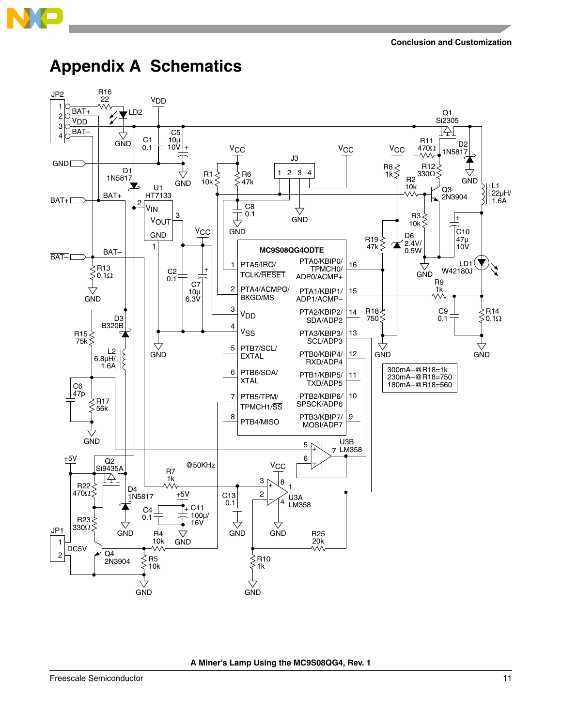

# <span id="page-10-0"></span>**Appendix A Schematics**



**A Miner's Lamp Using the MC9S08QG4, Rev. 1**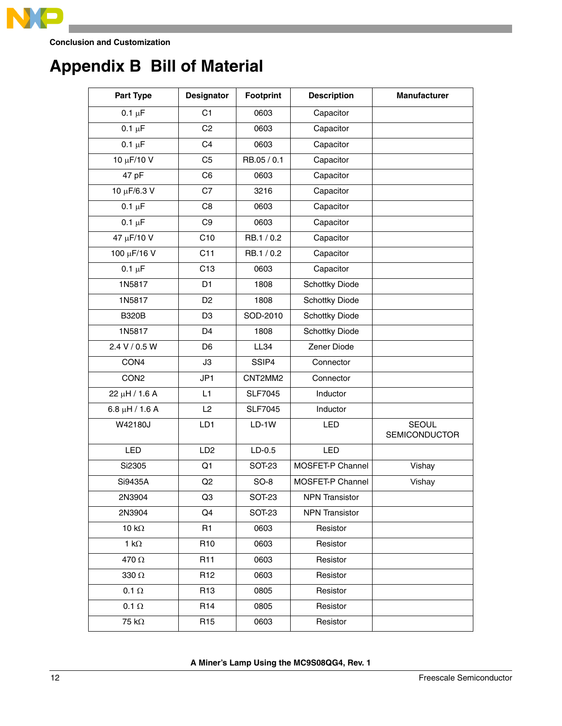

# <span id="page-11-0"></span>**Appendix B Bill of Material**

| <b>Part Type</b>    | <b>Designator</b> | Footprint      | <b>Description</b>    | <b>Manufacturer</b>                  |
|---------------------|-------------------|----------------|-----------------------|--------------------------------------|
| $0.1 \mu F$         | C <sub>1</sub>    | 0603           | Capacitor             |                                      |
| $0.1 \mu F$         | C <sub>2</sub>    | 0603           | Capacitor             |                                      |
| $0.1 \mu F$         | C <sub>4</sub>    | 0603           | Capacitor             |                                      |
| 10 μF/10 V          | C <sub>5</sub>    | RB.05 / 0.1    | Capacitor             |                                      |
| 47 pF               | C <sub>6</sub>    | 0603           | Capacitor             |                                      |
| 10 µF/6.3 V         | C7                | 3216           | Capacitor             |                                      |
| $0.1 \mu F$         | C <sub>8</sub>    | 0603           | Capacitor             |                                      |
| $0.1 \mu F$         | C <sub>9</sub>    | 0603           | Capacitor             |                                      |
| 47 µF/10 V          | C10               | RB.1/0.2       | Capacitor             |                                      |
| 100 µF/16 V         | C11               | RB.1/0.2       | Capacitor             |                                      |
| $0.1 \mu F$         | C <sub>13</sub>   | 0603           | Capacitor             |                                      |
| 1N5817              | D <sub>1</sub>    | 1808           | <b>Schottky Diode</b> |                                      |
| 1N5817              | D <sub>2</sub>    | 1808           | Schottky Diode        |                                      |
| <b>B320B</b>        | D <sub>3</sub>    | SOD-2010       | <b>Schottky Diode</b> |                                      |
| 1N5817              | D <sub>4</sub>    | 1808           | Schottky Diode        |                                      |
| 2.4 V / 0.5 W       | D <sub>6</sub>    | LL34           | Zener Diode           |                                      |
| CON4                | J3                | SSIP4          | Connector             |                                      |
| CON <sub>2</sub>    | JP <sub>1</sub>   | CNT2MM2        | Connector             |                                      |
| 22 µH / 1.6 A       | L1                | <b>SLF7045</b> | Inductor              |                                      |
| $6.8 \mu H / 1.6 A$ | L2                | <b>SLF7045</b> | Inductor              |                                      |
| W42180J             | LD1               | $LD-1W$        | LED                   | <b>SEOUL</b><br><b>SEMICONDUCTOR</b> |
| LED                 | LD <sub>2</sub>   | $LD-0.5$       | LED                   |                                      |
| Si2305              | Q1                | <b>SOT-23</b>  | MOSFET-P Channel      | Vishay                               |
| Si9435A             | Q2                | $SO-8$         | MOSFET-P Channel      | Vishay                               |
| 2N3904              | Q3                | SOT-23         | <b>NPN Transistor</b> |                                      |
| 2N3904              | Q4                | SOT-23         | <b>NPN Transistor</b> |                                      |
| 10 $k\Omega$        | R <sub>1</sub>    | 0603           | Resistor              |                                      |
| 1 k $\Omega$        | R <sub>10</sub>   | 0603           | Resistor              |                                      |
| 470 Ω               | R <sub>11</sub>   | 0603           | Resistor              |                                      |
| 330 $\Omega$        | R <sub>12</sub>   | 0603           | Resistor              |                                      |
| 0.1 $\Omega$        | R <sub>13</sub>   | 0805           | Resistor              |                                      |
| $0.1 \Omega$        | R <sub>14</sub>   | 0805           | Resistor              |                                      |
| 75 k $\Omega$       | R <sub>15</sub>   | 0603           | Resistor              |                                      |

**A Miner's Lamp Using the MC9S08QG4, Rev. 1**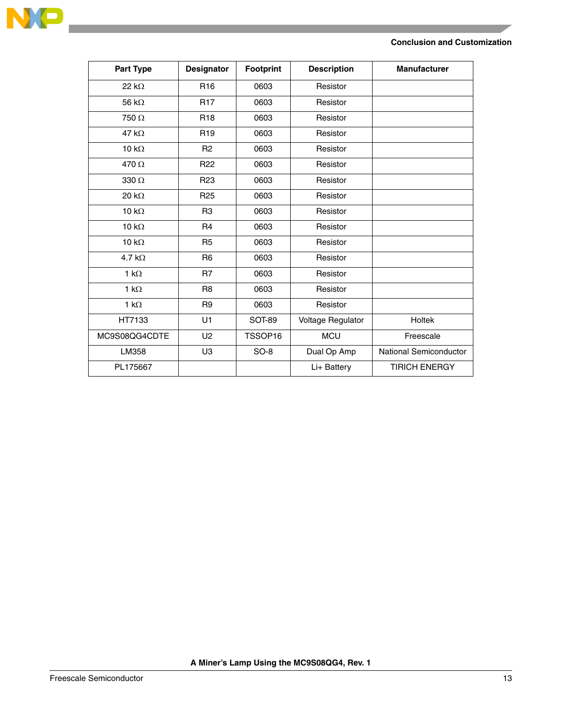

| <b>Part Type</b> | <b>Designator</b> | Footprint     | <b>Description</b> | <b>Manufacturer</b>    |
|------------------|-------------------|---------------|--------------------|------------------------|
| 22 $k\Omega$     | R <sub>16</sub>   | 0603          | Resistor           |                        |
| 56 $k\Omega$     | <b>R17</b>        | 0603          | Resistor           |                        |
| 750 Ω            | R <sub>18</sub>   | 0603          | Resistor           |                        |
| 47 k $\Omega$    | R <sub>19</sub>   | 0603          | Resistor           |                        |
| 10 k $\Omega$    | R <sub>2</sub>    | 0603          | Resistor           |                        |
| 470 $\Omega$     | R <sub>22</sub>   | 0603          | Resistor           |                        |
| 330 $\Omega$     | R <sub>23</sub>   | 0603          | Resistor           |                        |
| 20 $k\Omega$     | R <sub>25</sub>   | 0603          | Resistor           |                        |
| 10 $k\Omega$     | R <sub>3</sub>    | 0603          | Resistor           |                        |
| 10 $k\Omega$     | R <sub>4</sub>    | 0603          | Resistor           |                        |
| 10 k $\Omega$    | R <sub>5</sub>    | 0603          | Resistor           |                        |
| 4.7 k $\Omega$   | R <sub>6</sub>    | 0603          | Resistor           |                        |
| 1 k $\Omega$     | R <sub>7</sub>    | 0603          | Resistor           |                        |
| 1 k $\Omega$     | R <sub>8</sub>    | 0603          | Resistor           |                        |
| 1 $k\Omega$      | R <sub>9</sub>    | 0603          | Resistor           |                        |
| HT7133           | U1                | <b>SOT-89</b> | Voltage Regulator  | <b>Holtek</b>          |
| MC9S08QG4CDTE    | U <sub>2</sub>    | TSSOP16       | <b>MCU</b>         | Freescale              |
| LM358            | U <sub>3</sub>    | $SO-8$        | Dual Op Amp        | National Semiconductor |
| PL175667         |                   |               | Li+ Battery        | <b>TIRICH ENERGY</b>   |